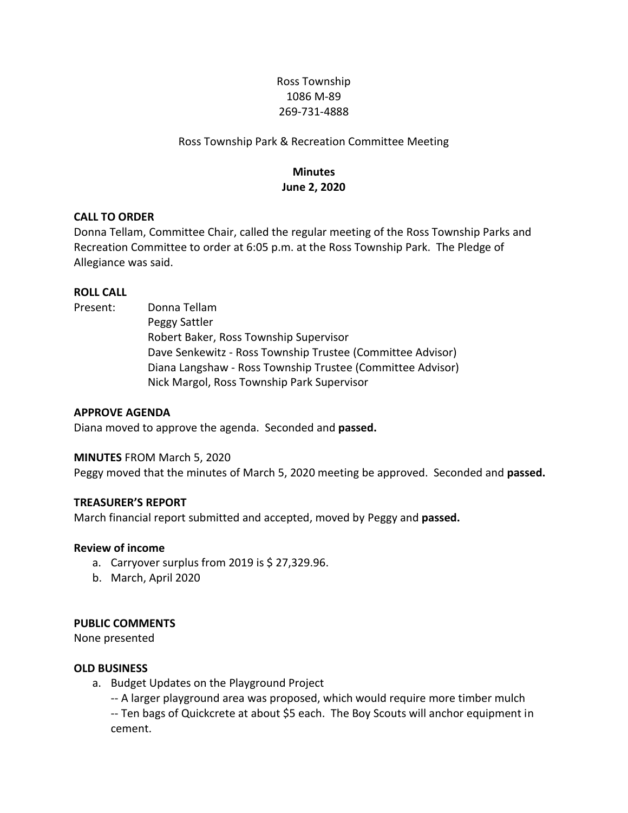# Ross Township 1086 M-89 269-731-4888

## Ross Township Park & Recreation Committee Meeting

# **Minutes June 2, 2020**

## **CALL TO ORDER**

Donna Tellam, Committee Chair, called the regular meeting of the Ross Township Parks and Recreation Committee to order at 6:05 p.m. at the Ross Township Park. The Pledge of Allegiance was said.

### **ROLL CALL**

Present: Donna Tellam

Peggy Sattler Robert Baker, Ross Township Supervisor Dave Senkewitz - Ross Township Trustee (Committee Advisor) Diana Langshaw - Ross Township Trustee (Committee Advisor) Nick Margol, Ross Township Park Supervisor

#### **APPROVE AGENDA**

Diana moved to approve the agenda. Seconded and **passed.**

#### **MINUTES** FROM March 5, 2020

Peggy moved that the minutes of March 5, 2020 meeting be approved. Seconded and **passed.**

#### **TREASURER'S REPORT**

March financial report submitted and accepted, moved by Peggy and **passed.**

#### **Review of income**

- a. Carryover surplus from 2019 is  $$27,329.96$ .
- b. March, April 2020

#### **PUBLIC COMMENTS**

None presented

#### **OLD BUSINESS**

a. Budget Updates on the Playground Project

-- A larger playground area was proposed, which would require more timber mulch -- Ten bags of Quickcrete at about \$5 each. The Boy Scouts will anchor equipment in cement.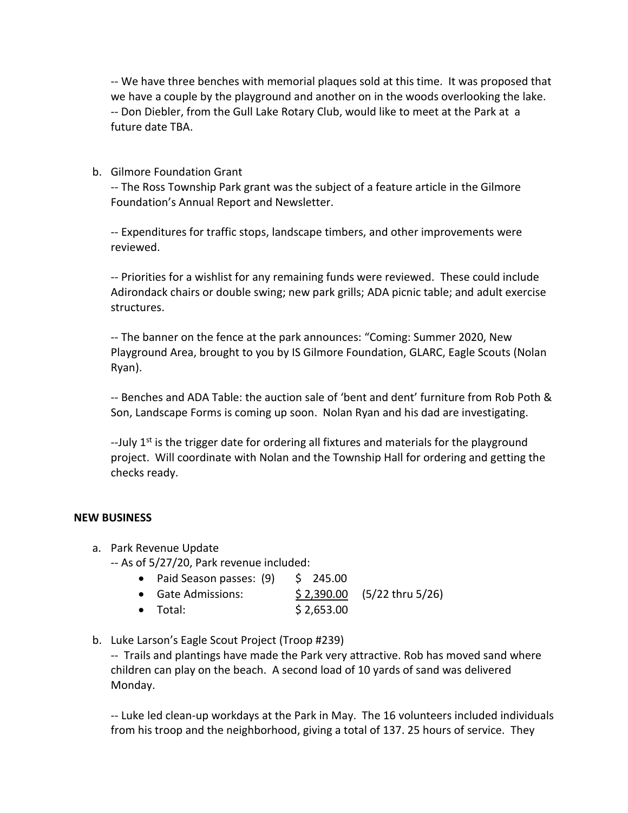-- We have three benches with memorial plaques sold at this time. It was proposed that we have a couple by the playground and another on in the woods overlooking the lake. -- Don Diebler, from the Gull Lake Rotary Club, would like to meet at the Park at a future date TBA.

b. Gilmore Foundation Grant

-- The Ross Township Park grant was the subject of a feature article in the Gilmore Foundation's Annual Report and Newsletter.

-- Expenditures for traffic stops, landscape timbers, and other improvements were reviewed.

-- Priorities for a wishlist for any remaining funds were reviewed. These could include Adirondack chairs or double swing; new park grills; ADA picnic table; and adult exercise structures.

-- The banner on the fence at the park announces: "Coming: Summer 2020, New Playground Area, brought to you by IS Gilmore Foundation, GLARC, Eagle Scouts (Nolan Ryan).

-- Benches and ADA Table: the auction sale of 'bent and dent' furniture from Rob Poth & Son, Landscape Forms is coming up soon. Nolan Ryan and his dad are investigating.

--July  $1<sup>st</sup>$  is the trigger date for ordering all fixtures and materials for the playground project. Will coordinate with Nolan and the Township Hall for ordering and getting the checks ready.

## **NEW BUSINESS**

a. Park Revenue Update

-- As of 5/27/20, Park revenue included:

- Paid Season passes:  $(9)$  \$ 245.00
- Gate Admissions:  $$ 2,390.00$   $(5/22 \text{ thru } 5/26)$
- Total: \$ 2,653.00
- b. Luke Larson's Eagle Scout Project (Troop #239)

-- Trails and plantings have made the Park very attractive. Rob has moved sand where children can play on the beach. A second load of 10 yards of sand was delivered Monday.

-- Luke led clean-up workdays at the Park in May. The 16 volunteers included individuals from his troop and the neighborhood, giving a total of 137. 25 hours of service. They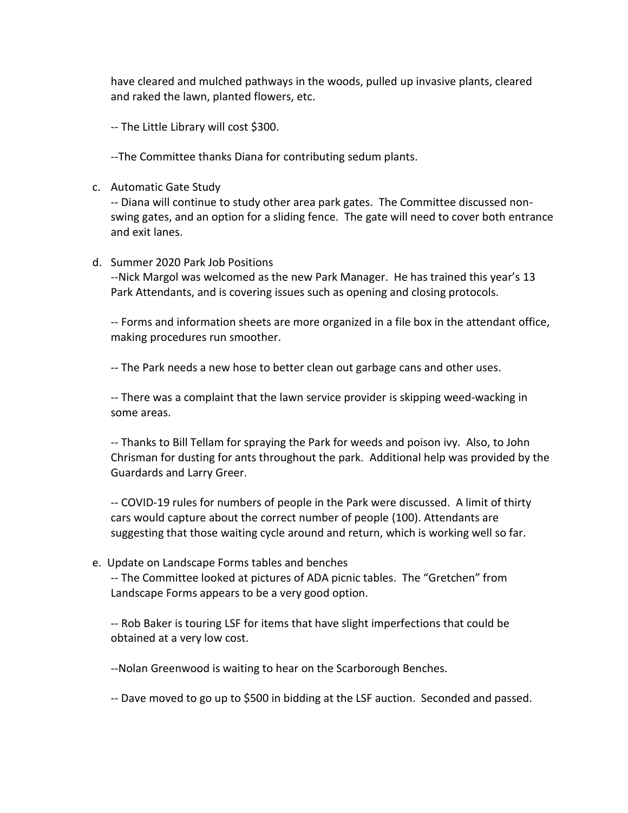have cleared and mulched pathways in the woods, pulled up invasive plants, cleared and raked the lawn, planted flowers, etc.

-- The Little Library will cost \$300.

--The Committee thanks Diana for contributing sedum plants.

c. Automatic Gate Study

-- Diana will continue to study other area park gates. The Committee discussed nonswing gates, and an option for a sliding fence. The gate will need to cover both entrance and exit lanes.

### d. Summer 2020 Park Job Positions

--Nick Margol was welcomed as the new Park Manager. He has trained this year's 13 Park Attendants, and is covering issues such as opening and closing protocols.

-- Forms and information sheets are more organized in a file box in the attendant office, making procedures run smoother.

-- The Park needs a new hose to better clean out garbage cans and other uses.

-- There was a complaint that the lawn service provider is skipping weed-wacking in some areas.

-- Thanks to Bill Tellam for spraying the Park for weeds and poison ivy. Also, to John Chrisman for dusting for ants throughout the park. Additional help was provided by the Guardards and Larry Greer.

-- COVID-19 rules for numbers of people in the Park were discussed. A limit of thirty cars would capture about the correct number of people (100). Attendants are suggesting that those waiting cycle around and return, which is working well so far.

e. Update on Landscape Forms tables and benches

-- The Committee looked at pictures of ADA picnic tables. The "Gretchen" from Landscape Forms appears to be a very good option.

-- Rob Baker is touring LSF for items that have slight imperfections that could be obtained at a very low cost.

--Nolan Greenwood is waiting to hear on the Scarborough Benches.

-- Dave moved to go up to \$500 in bidding at the LSF auction. Seconded and passed.